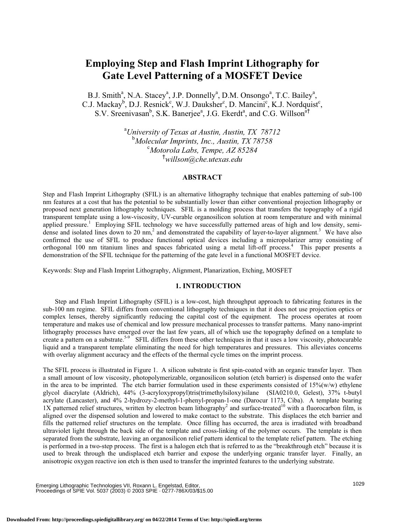# **Employing Step and Flash Imprint Lithography for Gate Level Patterning of a MOSFET Device**

B.J. Smith<sup>a</sup>, N.A. Stacey<sup>a</sup>, J.P. Donnelly<sup>a</sup>, D.M. Onsongo<sup>a</sup>, T.C. Bailey<sup>a</sup>, C.J. Mackay<sup>b</sup>, D.J. Resnick<sup>c</sup>, W.J. Dauksher<sup>c</sup>, D. Mancini<sup>c</sup>, K.J. Nordquist<sup>c</sup>, S.V. Sreenivasan<sup>b</sup>, S.K. Banerjee<sup>a</sup>, J.G. Ekerdt<sup>a</sup>, and C.G. Willson<sup>a†</sup>

> a *University of Texas at Austin, Austin, TX 78712* b *Molecular Imprints, Inc., Austin, TX 78758* c *Motorola Labs, Tempe, AZ 85284* † *willson@che.utexas.edu*

## **ABSTRACT**

Step and Flash Imprint Lithography (SFIL) is an alternative lithography technique that enables patterning of sub-100 nm features at a cost that has the potential to be substantially lower than either conventional projection lithography or proposed next generation lithography techniques. SFIL is a molding process that transfers the topography of a rigid transparent template using a low-viscosity, UV-curable organosilicon solution at room temperature and with minimal applied pressure.<sup>1</sup> Employing SFIL technology we have successfully patterned areas of high and low density, semidense and isolated lines down to 20 nm,<sup>2</sup> and demonstrated the capability of layer-to-layer alignment.<sup>3</sup> We have also confirmed the use of SFIL to produce functional optical devices including a micropolarizer array consisting of orthogonal 100 nm titanium lines and spaces fabricated using a metal lift-off process. 4 This paper presents a demonstration of the SFIL technique for the patterning of the gate level in a functional MOSFET device.

Keywords: Step and Flash Imprint Lithography, Alignment, Planarization, Etching, MOSFET

## **1. INTRODUCTION**

Step and Flash Imprint Lithography (SFIL) is a low-cost, high throughput approach to fabricating features in the sub-100 nm regime. SFIL differs from conventional lithography techniques in that it does not use projection optics or complex lenses, thereby significantly reducing the capital cost of the equipment. The process operates at room temperature and makes use of chemical and low pressure mechanical processes to transfer patterns. Many nano-imprint lithography processes have emerged over the last few years, all of which use the topography defined on a template to create a pattern on a substrate.<sup>5-9</sup> SFIL differs from these other techniques in that it uses a low viscosity, photocurable liquid and a transparent template eliminating the need for high temperatures and pressures. This alleviates concerns with overlay alignment accuracy and the effects of the thermal cycle times on the imprint process.

The SFIL process is illustrated in Figure 1. A silicon substrate is first spin-coated with an organic transfer layer. Then a small amount of low viscosity, photopolymerizable, organosilicon solution (etch barrier) is dispensed onto the wafer in the area to be imprinted. The etch barrier formulation used in these experiments consisted of 15%(w/w) ethylene glycol diacrylate (Aldrich), 44% (3-acryloxypropyl)tris(trimethylsiloxy)silane (SIA0210.0, Gelest), 37% t-butyl acrylate (Lancaster), and 4% 2-hydrozy-2-methyl-1-phenyl-propan-1-one (Darocur 1173, Ciba). A template bearing 1X patterned relief structures, written by electron beam lithography<sup>2</sup> and surface-treated<sup>10</sup> with a fluorocarbon film, is aligned over the dispensed solution and lowered to make contact to the substrate. This displaces the etch barrier and fills the patterned relief structures on the template. Once filling has occurred, the area is irradiated with broadband ultraviolet light through the back side of the template and cross-linking of the polymer occurs. The template is then separated from the substrate, leaving an organosilicon relief pattern identical to the template relief pattern. The etching is performed in a two-step process. The first is a halogen etch that is referred to as the "breakthrough etch" because it is used to break through the undisplaced etch barrier and expose the underlying organic transfer layer. Finally, an anisotropic oxygen reactive ion etch is then used to transfer the imprinted features to the underlying substrate.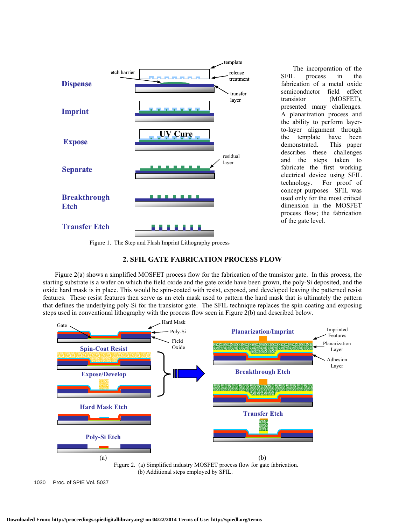

 The incorporation of the SFIL process in the fabrication of a metal oxide semiconductor field effect transistor (MOSFET), presented many challenges. A planarization process and the ability to perform layerto-layer alignment through the template have been demonstrated. This paper describes these challenges and the steps taken to fabricate the first working electrical device using SFIL technology. For proof of concept purposes SFIL was used only for the most critical dimension in the MOSFET process flow; the fabrication of the gate level.

Figure 1. The Step and Flash Imprint Lithography process



 Figure 2(a) shows a simplified MOSFET process flow for the fabrication of the transistor gate. In this process, the starting substrate is a wafer on which the field oxide and the gate oxide have been grown, the poly-Si deposited, and the oxide hard mask is in place. This would be spin-coated with resist, exposed, and developed leaving the patterned resist features. These resist features then serve as an etch mask used to pattern the hard mask that is ultimately the pattern that defines the underlying poly-Si for the transistor gate. The SFIL technique replaces the spin-coating and exposing steps used in conventional lithography with the process flow seen in Figure 2(b) and described below.



<sup>1030</sup> Proc. of SPIE Vol. 5037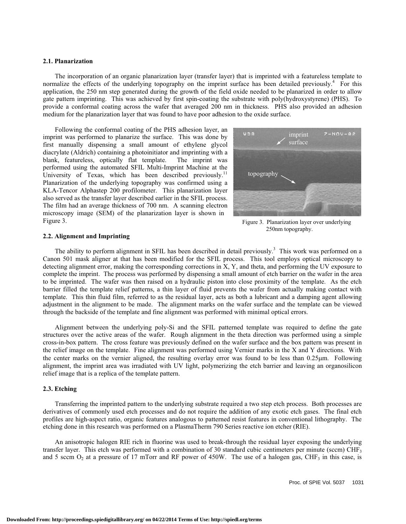## **2.1. Planarization**

 The incorporation of an organic planarization layer (transfer layer) that is imprinted with a featureless template to normalize the effects of the underlying topography on the imprint surface has been detailed previously.<sup>4</sup> For this application, the 250 nm step generated during the growth of the field oxide needed to be planarized in order to allow gate pattern imprinting. This was achieved by first spin-coating the substrate with poly(hydroxystyrene) (PHS). To provide a conformal coating across the wafer that averaged 200 nm in thickness. PHS also provided an adhesion medium for the planarization layer that was found to have poor adhesion to the oxide surface.

 Following the conformal coating of the PHS adhesion layer, an imprint was performed to planarize the surface. This was done by first manually dispensing a small amount of ethylene glycol diacrylate (Aldrich) containing a photoinitiator and imprinting with a blank, featureless, optically flat template. The imprint was performed using the automated SFIL Multi-Imprint Machine at the University of Texas, which has been described previously.<sup>11</sup> Planarization of the underlying topography was confirmed using a KLA-Tencor Alphastep 200 profilometer. This planarization layer also served as the transfer layer described earlier in the SFIL process. The film had an average thickness of 700 nm. A scanning electron microscopy image (SEM) of the planarization layer is shown in Figure 3.



 Figure 3. Planarization layer over underlying 250nm topography.

#### **2.2. Alignment and Imprinting**

The ability to perform alignment in SFIL has been described in detail previously.<sup>3</sup> This work was performed on a Canon 501 mask aligner at that has been modified for the SFIL process. This tool employs optical microscopy to detecting alignment error, making the corresponding corrections in X, Y, and theta, and performing the UV exposure to complete the imprint. The process was performed by dispensing a small amount of etch barrier on the wafer in the area to be imprinted. The wafer was then raised on a hydraulic piston into close proximity of the template. As the etch barrier filled the template relief patterns, a thin layer of fluid prevents the wafer from actually making contact with template. This thin fluid film, referred to as the residual layer, acts as both a lubricant and a damping agent allowing adjustment in the alignment to be made. The alignment marks on the wafer surface and the template can be viewed through the backside of the template and fine alignment was performed with minimal optical errors.

 Alignment between the underlying poly-Si and the SFIL patterned template was required to define the gate structures over the active areas of the wafer. Rough alignment in the theta direction was performed using a simple cross-in-box pattern. The cross feature was previously defined on the wafer surface and the box pattern was present in the relief image on the template. Fine alignment was performed using Vernier marks in the X and Y directions. With the center marks on the vernier aligned, the resulting overlay error was found to be less than 0.25µm. Following alignment, the imprint area was irradiated with UV light, polymerizing the etch barrier and leaving an organosilicon relief image that is a replica of the template pattern.

#### **2.3. Etching**

 Transferring the imprinted pattern to the underlying substrate required a two step etch process. Both processes are derivatives of commonly used etch processes and do not require the addition of any exotic etch gases. The final etch profiles are high-aspect ratio, organic features analogous to patterned resist features in conventional lithography. The etching done in this research was performed on a PlasmaTherm 790 Series reactive ion etcher (RIE).

 An anisotropic halogen RIE rich in fluorine was used to break-through the residual layer exposing the underlying transfer layer. This etch was performed with a combination of 30 standard cubic centimeters per minute (sccm) CHF<sub>3</sub> and 5 sccm  $O_2$  at a pressure of 17 mTorr and RF power of 450W. The use of a halogen gas, CHF<sub>3</sub> in this case, is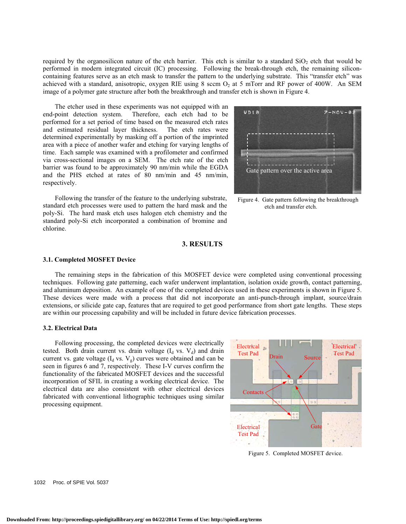required by the organosilicon nature of the etch barrier. This etch is similar to a standard  $SiO<sub>2</sub>$  etch that would be performed in modern integrated circuit (IC) processing. Following the break-through etch, the remaining siliconcontaining features serve as an etch mask to transfer the pattern to the underlying substrate. This "transfer etch" was achieved with a standard, anisotropic, oxygen RIE using 8 sccm  $O<sub>2</sub>$  at 5 mTorr and RF power of 400W. An SEM image of a polymer gate structure after both the breakthrough and transfer etch is shown in Figure 4.

 The etcher used in these experiments was not equipped with an end-point detection system. Therefore, each etch had to be performed for a set period of time based on the measured etch rates and estimated residual layer thickness. The etch rates were determined experimentally by masking off a portion of the imprinted area with a piece of another wafer and etching for varying lengths of time. Each sample was examined with a profilometer and confirmed via cross-sectional images on a SEM. The etch rate of the etch barrier was found to be approximately 90 nm/min while the EGDA and the PHS etched at rates of 80 nm/min and 45 nm/min, respectively.

 Following the transfer of the feature to the underlying substrate, standard etch processes were used to pattern the hard mask and the poly-Si. The hard mask etch uses halogen etch chemistry and the standard poly-Si etch incorporated a combination of bromine and chlorine.



Figure 4. Gate pattern following the breakthrough etch and transfer etch.

#### **3. RESULTS**

#### **3.1. Completed MOSFET Device**

 The remaining steps in the fabrication of this MOSFET device were completed using conventional processing techniques. Following gate patterning, each wafer underwent implantation, isolation oxide growth, contact patterning, and aluminum deposition. An example of one of the completed devices used in these experiments is shown in Figure 5. These devices were made with a process that did not incorporate an anti-punch-through implant, source/drain extensions, or silicide gate cap, features that are required to get good performance from short gate lengths. These steps are within our processing capability and will be included in future device fabrication processes.

#### **3.2. Electrical Data**

 Following processing, the completed devices were electrically tested. Both drain current vs. drain voltage  $(I_d$  vs.  $V_d$ ) and drain current vs. gate voltage  $(I_d$  vs.  $V_g$ ) curves were obtained and can be seen in figures 6 and 7, respectively. These I-V curves confirm the functionality of the fabricated MOSFET devices and the successful incorporation of SFIL in creating a working electrical device. The electrical data are also consistent with other electrical devices fabricated with conventional lithographic techniques using similar processing equipment.



Figure 5. Completed MOSFET device.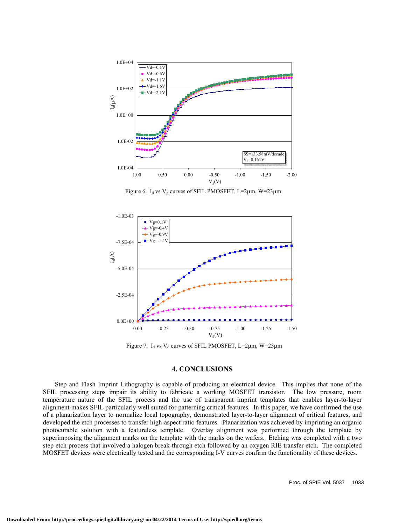

Figure 6.  $I_d$  vs  $V_g$  curves of SFIL PMOSFET, L=2 $\mu$ m, W=23 $\mu$ m



Figure 7.  $I_d$  vs  $V_d$  curves of SFIL PMOSFET, L=2 $\mu$ m, W=23 $\mu$ m

#### **4. CONCLUSIONS**

 Step and Flash Imprint Lithography is capable of producing an electrical device. This implies that none of the SFIL processing steps impair its ability to fabricate a working MOSFET transistor. The low pressure, room temperature nature of the SFIL process and the use of transparent imprint templates that enables layer-to-layer alignment makes SFIL particularly well suited for patterning critical features. In this paper, we have confirmed the use of a planarization layer to normalize local topography, demonstrated layer-to-layer alignment of critical features, and developed the etch processes to transfer high-aspect ratio features. Planarization was achieved by imprinting an organic photocurable solution with a featureless template. Overlay alignment was performed through the template by superimposing the alignment marks on the template with the marks on the wafers. Etching was completed with a two step etch process that involved a halogen break-through etch followed by an oxygen RIE transfer etch. The completed MOSFET devices were electrically tested and the corresponding I-V curves confirm the functionality of these devices.